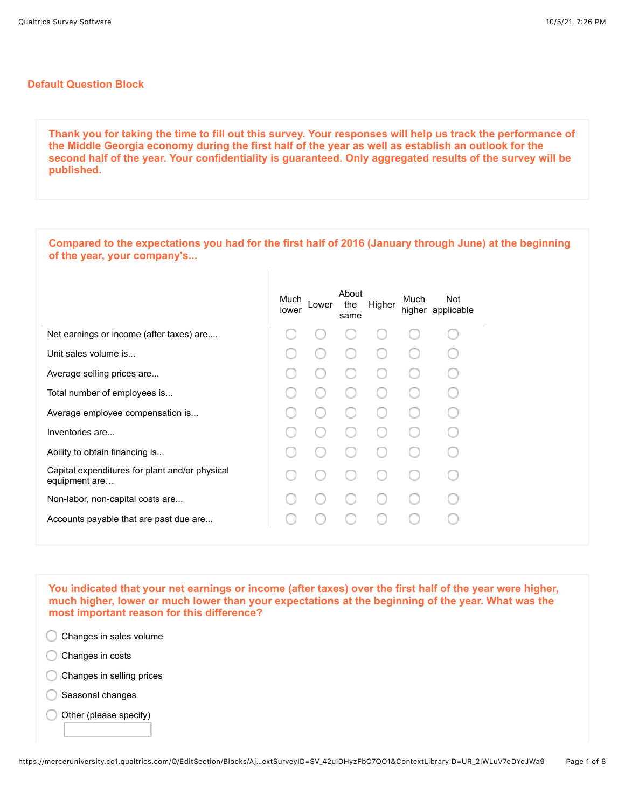## **Default Question Block**

**Thank you for taking the time to fill out this survey. Your responses will help us track the performance of the Middle Georgia economy during the first half of the year as well as establish an outlook for the second half of the year. Your confidentiality is guaranteed. Only aggregated results of the survey will be published.**

| Compared to the expectations you had for the first half of 2016 (January through June) at the beginning<br>of the year, your company's |               |       |                      |        |      |                          |
|----------------------------------------------------------------------------------------------------------------------------------------|---------------|-------|----------------------|--------|------|--------------------------|
|                                                                                                                                        | Much<br>lower | Lower | About<br>the<br>same | Higher | Much | Not<br>higher applicable |
| Net earnings or income (after taxes) are                                                                                               |               |       |                      |        |      |                          |
| Unit sales volume is                                                                                                                   |               |       |                      |        |      |                          |
| Average selling prices are                                                                                                             |               |       |                      |        |      |                          |
| Total number of employees is                                                                                                           |               |       |                      |        |      |                          |
| Average employee compensation is                                                                                                       |               |       |                      |        |      |                          |
| Inventories are                                                                                                                        |               |       |                      |        |      |                          |
| Ability to obtain financing is                                                                                                         |               |       |                      |        |      |                          |
| Capital expenditures for plant and/or physical<br>equipment are                                                                        |               |       |                      |        |      |                          |
| Non-labor, non-capital costs are                                                                                                       |               |       |                      |        |      |                          |
| Accounts payable that are past due are                                                                                                 |               |       |                      |        |      |                          |

**You indicated that your net earnings or income (after taxes) over the first half of the year were higher, much higher, lower or much lower than your expectations at the beginning of the year. What was the most important reason for this difference?** 



- C Changes in costs
- Changes in selling prices
- C Seasonal changes
- Other (please specify)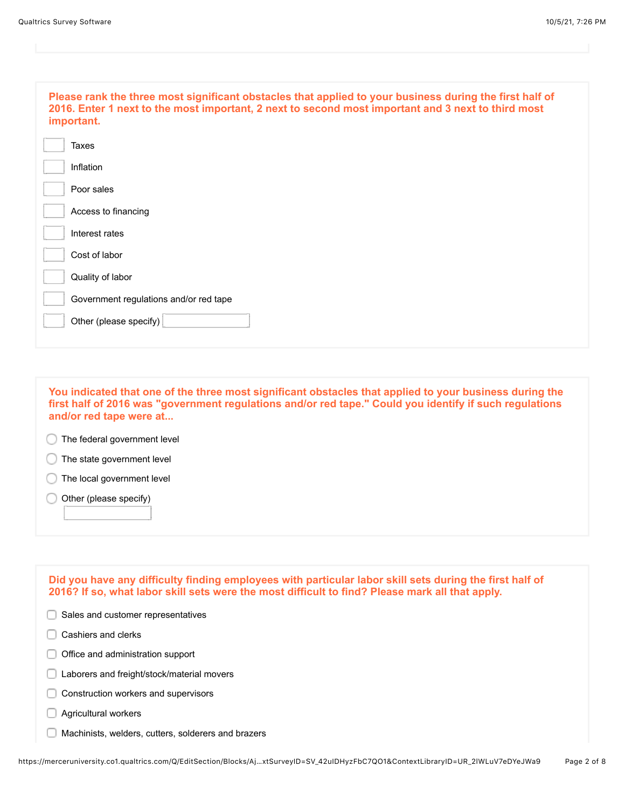| Please rank the three most significant obstacles that applied to your business during the first half of<br>2016. Enter 1 next to the most important, 2 next to second most important and 3 next to third most<br>important. |
|-----------------------------------------------------------------------------------------------------------------------------------------------------------------------------------------------------------------------------|
| Taxes                                                                                                                                                                                                                       |
| Inflation                                                                                                                                                                                                                   |
| Poor sales                                                                                                                                                                                                                  |
| Access to financing                                                                                                                                                                                                         |
| Interest rates                                                                                                                                                                                                              |
| Cost of labor                                                                                                                                                                                                               |
| Quality of labor                                                                                                                                                                                                            |
| Government regulations and/or red tape                                                                                                                                                                                      |
| Other (please specify)                                                                                                                                                                                                      |
|                                                                                                                                                                                                                             |

**You indicated that one of the three most significant obstacles that applied to your business during the first half of 2016 was "government regulations and/or red tape." Could you identify if such regulations and/or red tape were at...**

**The federal government level** 

The state government level

The local government level

Other (please specify)

 $\Box$  Sales and customer representatives Cashiers and clerks  $\Box$  Office and administration support **Laborers and freight/stock/material movers** C Construction workers and supervisors **Agricultural workers Machinists, welders, cutters, solderers and brazers Did you have any difficulty finding employees with particular labor skill sets during the first half of 2016? If so, what labor skill sets were the most difficult to find? Please mark all that apply.**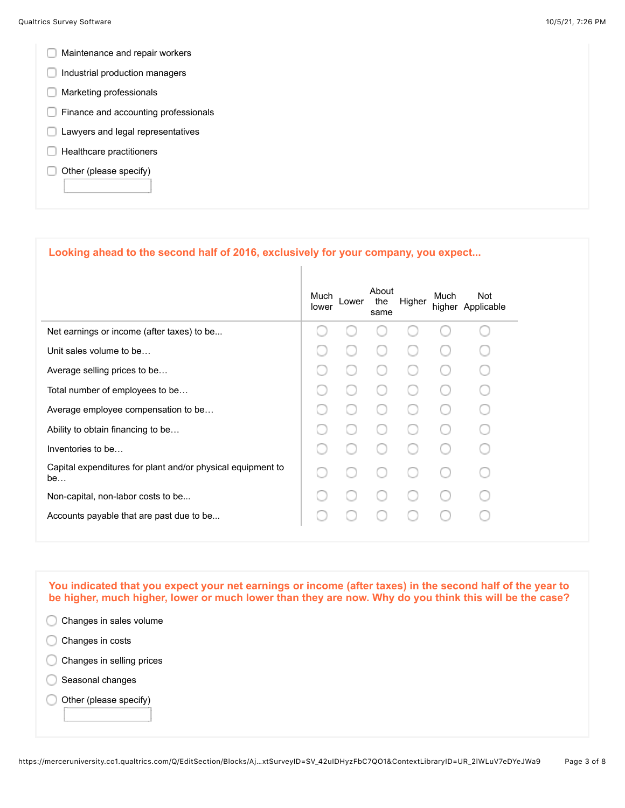- **Maintenance and repair workers**
- Industrial production managers
- **Marketing professionals**
- **Finance and accounting professionals**
- **Lawyers and legal representatives**
- $\Box$  Healthcare practitioners
- $\Box$  Other (please specify)

## **Looking ahead to the second half of 2016, exclusively for your company, you expect...**

|                                                                   | Much<br>lower | Lower | About<br>the<br>same | Higher | Much | Not<br>higher Applicable |
|-------------------------------------------------------------------|---------------|-------|----------------------|--------|------|--------------------------|
| Net earnings or income (after taxes) to be                        |               |       |                      |        |      |                          |
| Unit sales volume to be                                           |               |       |                      |        |      |                          |
| Average selling prices to be                                      |               |       |                      |        |      |                          |
| Total number of employees to be                                   |               |       |                      |        |      |                          |
| Average employee compensation to be                               |               |       |                      |        |      |                          |
| Ability to obtain financing to be                                 |               |       |                      |        |      |                          |
| Inventories to be                                                 |               |       |                      |        |      |                          |
| Capital expenditures for plant and/or physical equipment to<br>be |               |       |                      |        |      |                          |
| Non-capital, non-labor costs to be                                |               |       |                      |        |      |                          |
| Accounts payable that are past due to be                          |               |       |                      |        |      |                          |
|                                                                   |               |       |                      |        |      |                          |

**You indicated that you expect your net earnings or income (after taxes) in the second half of the year to be higher, much higher, lower or much lower than they are now. Why do you think this will be the case?** 

- C Changes in sales volume
- Changes in costs
- Changes in selling prices
- C Seasonal changes
- Other (please specify)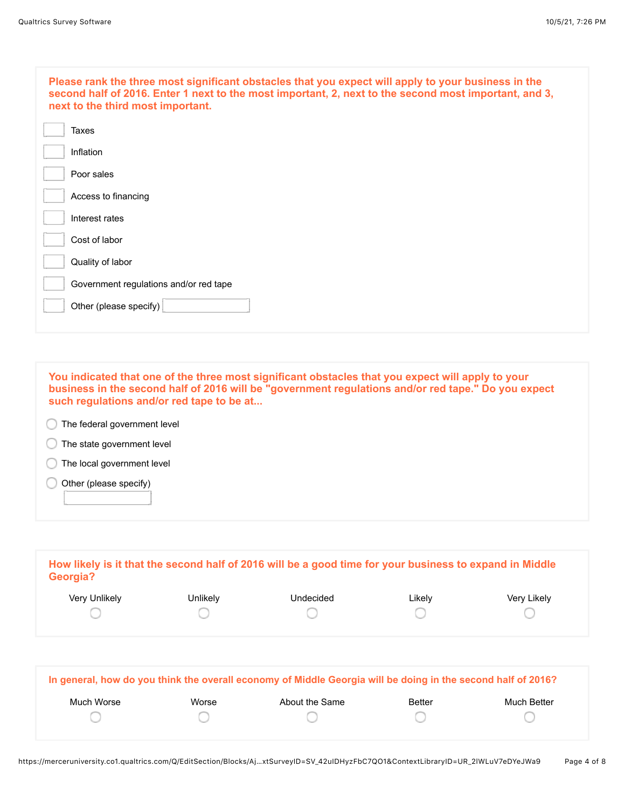| Please rank the three most significant obstacles that you expect will apply to your business in the<br>second half of 2016. Enter 1 next to the most important, 2, next to the second most important, and 3,<br>next to the third most important. |
|---------------------------------------------------------------------------------------------------------------------------------------------------------------------------------------------------------------------------------------------------|
| Taxes                                                                                                                                                                                                                                             |
| Inflation                                                                                                                                                                                                                                         |
| Poor sales                                                                                                                                                                                                                                        |
| Access to financing                                                                                                                                                                                                                               |
| Interest rates                                                                                                                                                                                                                                    |
| Cost of labor                                                                                                                                                                                                                                     |
| Quality of labor                                                                                                                                                                                                                                  |
| Government regulations and/or red tape                                                                                                                                                                                                            |
| Other (please specify)                                                                                                                                                                                                                            |
|                                                                                                                                                                                                                                                   |

**You indicated that one of the three most significant obstacles that you expect will apply to your business in the second half of 2016 will be "government regulations and/or red tape." Do you expect such regulations and/or red tape to be at...**

The federal government level

**The state government level** 

The local government level

 $\bigcirc$  Other (please specify)

| Georgia?      |          | How likely is it that the second half of 2016 will be a good time for your business to expand in Middle |        |             |
|---------------|----------|---------------------------------------------------------------------------------------------------------|--------|-------------|
| Very Unlikely | Unlikely | Undecided                                                                                               | ∟ikely | Very Likely |
|               |          |                                                                                                         |        |             |

|            |       | In general, how do you think the overall economy of Middle Georgia will be doing in the second half of 2016? |               |             |
|------------|-------|--------------------------------------------------------------------------------------------------------------|---------------|-------------|
| Much Worse | Worse | About the Same                                                                                               | <b>Better</b> | Much Better |
|            |       |                                                                                                              |               |             |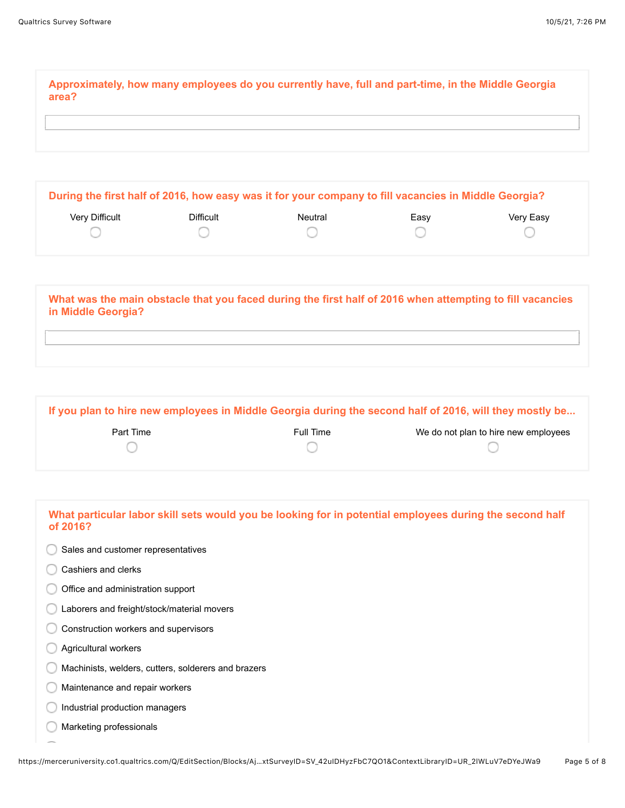**Approximately, how many employees do you currently have, full and part-time, in the Middle Georgia area?**

|                       |           | During the first half of 2016, how easy was it for your company to fill vacancies in Middle Georgia? |      |           |
|-----------------------|-----------|------------------------------------------------------------------------------------------------------|------|-----------|
| <b>Very Difficult</b> | Difficult | Neutral                                                                                              | Easv | Very Easy |
|                       |           |                                                                                                      |      |           |

| What was the main obstacle that you faced during the first half of 2016 when attempting to fill vacancies<br>in Middle Georgia? |  |
|---------------------------------------------------------------------------------------------------------------------------------|--|
|                                                                                                                                 |  |

| If you plan to hire new employees in Middle Georgia during the second half of 2016, will they mostly be |           |                                      |  |
|---------------------------------------------------------------------------------------------------------|-----------|--------------------------------------|--|
| Part Time                                                                                               | Full Time | We do not plan to hire new employees |  |
|                                                                                                         |           |                                      |  |

| What particular labor skill sets would you be looking for in potential employees during the second half<br>of 2016? |
|---------------------------------------------------------------------------------------------------------------------|
| Sales and customer representatives                                                                                  |
| Cashiers and clerks                                                                                                 |
| Office and administration support                                                                                   |
| Laborers and freight/stock/material movers                                                                          |
| Construction workers and supervisors                                                                                |
| Agricultural workers                                                                                                |
| Machinists, welders, cutters, solderers and brazers                                                                 |
| Maintenance and repair workers                                                                                      |
| Industrial production managers                                                                                      |
| Marketing professionals                                                                                             |
|                                                                                                                     |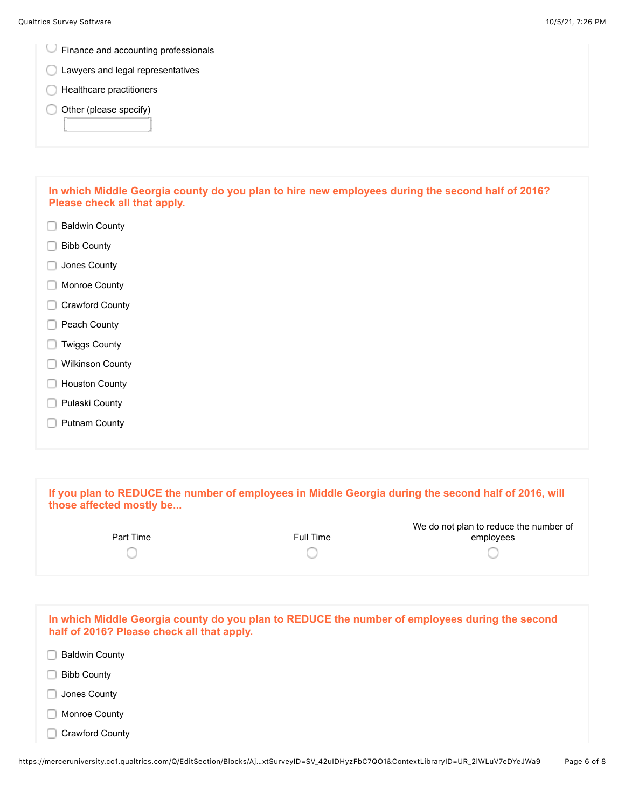Finance and accounting professionals

- **C** Lawyers and legal representatives
- **C** Healthcare practitioners
- Other (please specify) C

| In which Middle Georgia county do you plan to hire new employees during the second half of 2016? |  |
|--------------------------------------------------------------------------------------------------|--|
| Please check all that apply.                                                                     |  |

- Baldwin County
- Bibb County
- **Jones County**
- **Monroe County**
- Crawford County
- Peach County
- **Twiggs County**
- **Wilkinson County**
- **Houston County**
- **Pulaski County**
- **Putnam County**

| those affected mostly be                   |           | If you plan to REDUCE the number of employees in Middle Georgia during the second half of 2016, will |
|--------------------------------------------|-----------|------------------------------------------------------------------------------------------------------|
| Part Time                                  | Full Time | We do not plan to reduce the number of<br>employees                                                  |
|                                            |           |                                                                                                      |
| half of 2016? Please check all that apply. |           | In which Middle Georgia county do you plan to REDUCE the number of employees during the second       |
| <b>Baldwin County</b>                      |           |                                                                                                      |

- Bibb County
- Jones County n
- **Monroe County**
- Crawford County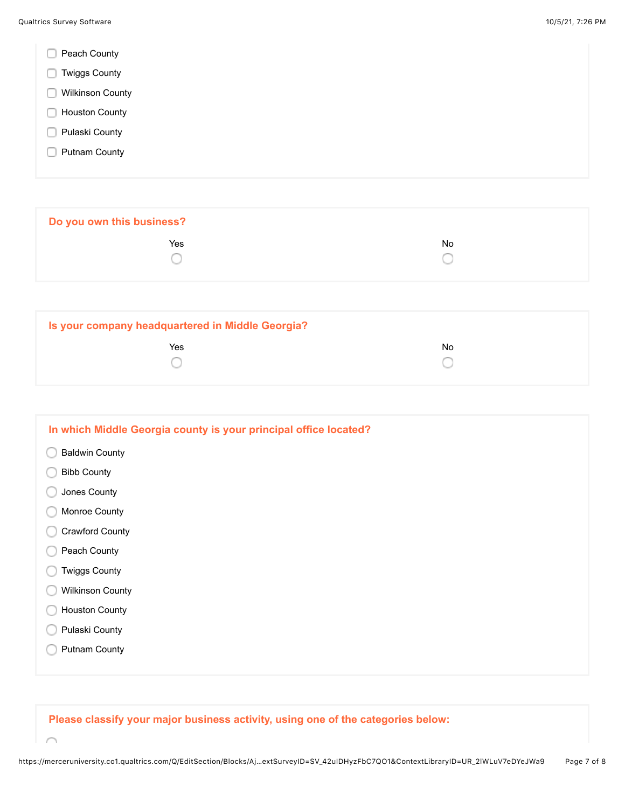- Peach County
- **Twiggs County**
- **Wilkinson County**
- **Houston County**
- **Pulaski County**
- **Putnam County**

**Do you own this business? The Second Contract of the Second Contract Contract Contract Contract Contract Contract Contract Contract Contract Contract Contract Contract Contract Contract Contract Contract Contract Contract Contract Contract Contrac** 0 O

| Is your company headquartered in Middle Georgia? |     |
|--------------------------------------------------|-----|
| Yes                                              | No. |
|                                                  |     |
|                                                  |     |

| In which Middle Georgia county is your principal office located? |  |
|------------------------------------------------------------------|--|
| <b>Baldwin County</b>                                            |  |
| <b>Bibb County</b>                                               |  |
| Jones County                                                     |  |
| Monroe County                                                    |  |
| <b>Crawford County</b>                                           |  |
| Peach County                                                     |  |
| <b>Twiggs County</b>                                             |  |
| <b>Wilkinson County</b>                                          |  |
| <b>Houston County</b>                                            |  |
| Pulaski County                                                   |  |
| <b>Putnam County</b>                                             |  |
|                                                                  |  |

**Please classify your major business activity, using one of the categories below:**

 $\curvearrowright$